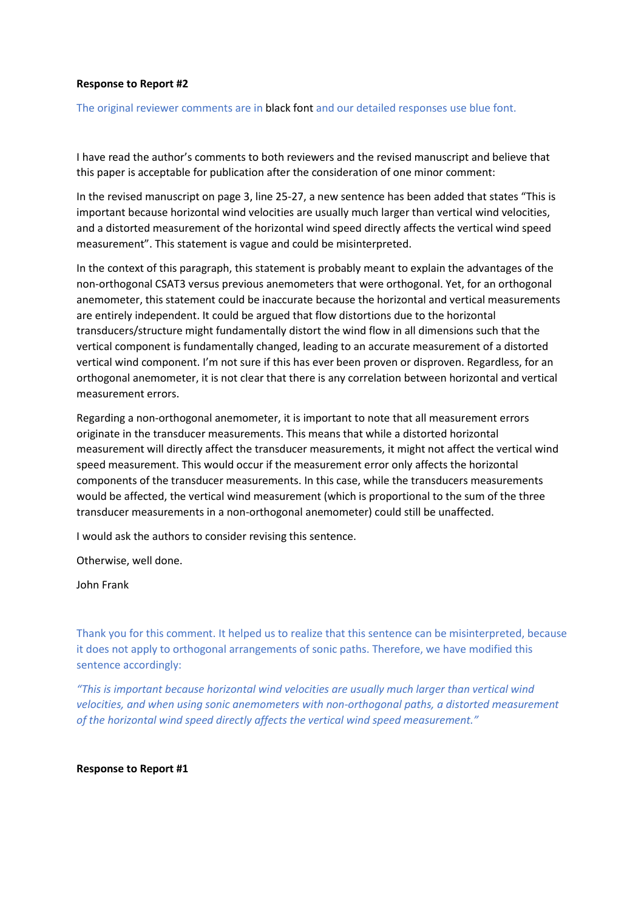# **Response to Report #2**

The original reviewer comments are in black font and our detailed responses use blue font.

I have read the author's comments to both reviewers and the revised manuscript and believe that this paper is acceptable for publication after the consideration of one minor comment:

In the revised manuscript on page 3, line 25-27, a new sentence has been added that states "This is important because horizontal wind velocities are usually much larger than vertical wind velocities, and a distorted measurement of the horizontal wind speed directly affects the vertical wind speed measurement". This statement is vague and could be misinterpreted.

In the context of this paragraph, this statement is probably meant to explain the advantages of the non-orthogonal CSAT3 versus previous anemometers that were orthogonal. Yet, for an orthogonal anemometer, this statement could be inaccurate because the horizontal and vertical measurements are entirely independent. It could be argued that flow distortions due to the horizontal transducers/structure might fundamentally distort the wind flow in all dimensions such that the vertical component is fundamentally changed, leading to an accurate measurement of a distorted vertical wind component. I'm not sure if this has ever been proven or disproven. Regardless, for an orthogonal anemometer, it is not clear that there is any correlation between horizontal and vertical measurement errors.

Regarding a non-orthogonal anemometer, it is important to note that all measurement errors originate in the transducer measurements. This means that while a distorted horizontal measurement will directly affect the transducer measurements, it might not affect the vertical wind speed measurement. This would occur if the measurement error only affects the horizontal components of the transducer measurements. In this case, while the transducers measurements would be affected, the vertical wind measurement (which is proportional to the sum of the three transducer measurements in a non-orthogonal anemometer) could still be unaffected.

I would ask the authors to consider revising this sentence.

Otherwise, well done.

John Frank

Thank you for this comment. It helped us to realize that this sentence can be misinterpreted, because it does not apply to orthogonal arrangements of sonic paths. Therefore, we have modified this sentence accordingly:

*"This is important because horizontal wind velocities are usually much larger than vertical wind velocities, and when using sonic anemometers with non-orthogonal paths, a distorted measurement of the horizontal wind speed directly affects the vertical wind speed measurement."*

#### **Response to Report #1**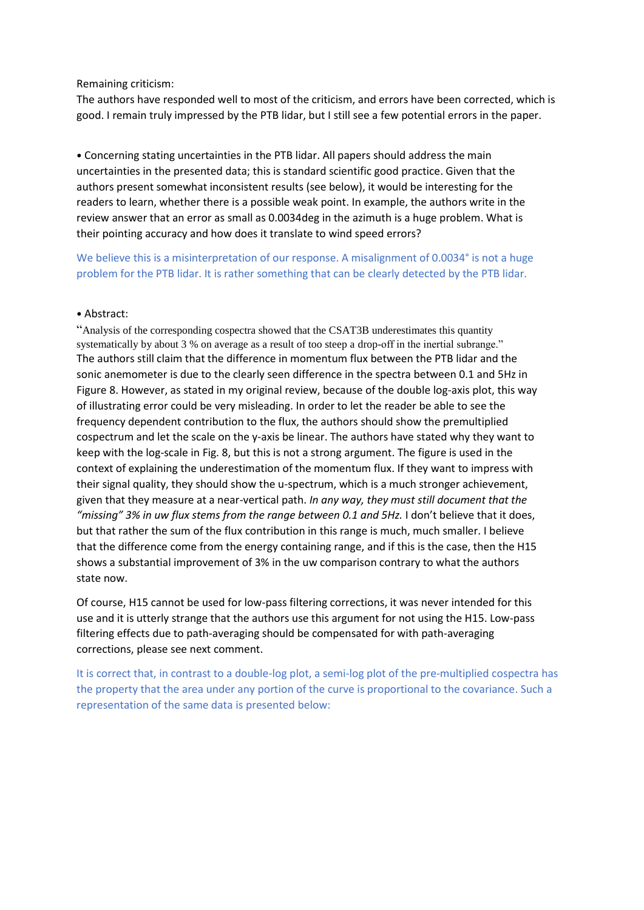## Remaining criticism:

The authors have responded well to most of the criticism, and errors have been corrected, which is good. I remain truly impressed by the PTB lidar, but I still see a few potential errors in the paper.

• Concerning stating uncertainties in the PTB lidar. All papers should address the main uncertainties in the presented data; this is standard scientific good practice. Given that the authors present somewhat inconsistent results (see below), it would be interesting for the readers to learn, whether there is a possible weak point. In example, the authors write in the review answer that an error as small as 0.0034deg in the azimuth is a huge problem. What is their pointing accuracy and how does it translate to wind speed errors?

We believe this is a misinterpretation of our response. A misalignment of 0.0034° is not a huge problem for the PTB lidar. It is rather something that can be clearly detected by the PTB lidar.

# • Abstract:

"Analysis of the corresponding cospectra showed that the CSAT3B underestimates this quantity systematically by about 3 % on average as a result of too steep a drop-off in the inertial subrange." The authors still claim that the difference in momentum flux between the PTB lidar and the sonic anemometer is due to the clearly seen difference in the spectra between 0.1 and 5Hz in Figure 8. However, as stated in my original review, because of the double log-axis plot, this way of illustrating error could be very misleading. In order to let the reader be able to see the frequency dependent contribution to the flux, the authors should show the premultiplied cospectrum and let the scale on the y-axis be linear. The authors have stated why they want to keep with the log-scale in Fig. 8, but this is not a strong argument. The figure is used in the context of explaining the underestimation of the momentum flux. If they want to impress with their signal quality, they should show the u-spectrum, which is a much stronger achievement, given that they measure at a near-vertical path. *In any way, they must still document that the "missing" 3% in uw flux stems from the range between 0.1 and 5Hz.* I don't believe that it does, but that rather the sum of the flux contribution in this range is much, much smaller. I believe that the difference come from the energy containing range, and if this is the case, then the H15 shows a substantial improvement of 3% in the uw comparison contrary to what the authors state now.

Of course, H15 cannot be used for low-pass filtering corrections, it was never intended for this use and it is utterly strange that the authors use this argument for not using the H15. Low-pass filtering effects due to path-averaging should be compensated for with path-averaging corrections, please see next comment.

It is correct that, in contrast to a double-log plot, a semi-log plot of the pre-multiplied cospectra has the property that the area under any portion of the curve is proportional to the covariance. Such a representation of the same data is presented below: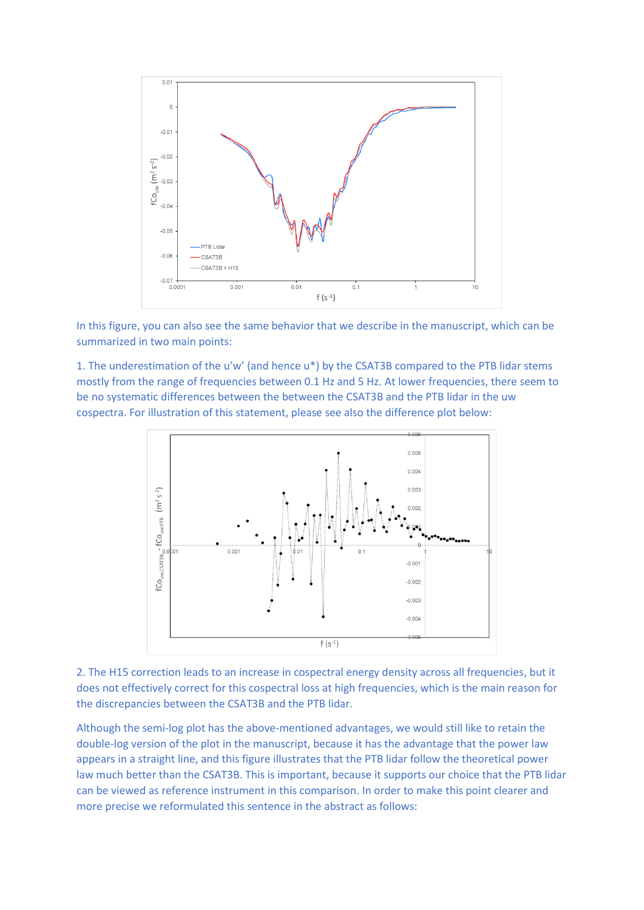

In this figure, you can also see the same behavior that we describe in the manuscript, which can be summarized in two main points:

1. The underestimation of the u'w' (and hence u\*) by the CSAT3B compared to the PTB lidar stems mostly from the range of frequencies between 0.1 Hz and 5 Hz. At lower frequencies, there seem to be no systematic differences between the between the CSAT3B and the PTB lidar in the uw cospectra. For illustration of this statement, please see also the difference plot below:



2. The H15 correction leads to an increase in cospectral energy density across all frequencies, but it does not effectively correct for this cospectral loss at high frequencies, which is the main reason for the discrepancies between the CSAT3B and the PTB lidar.

Although the semi-log plot has the above-mentioned advantages, we would still like to retain the double-log version of the plot in the manuscript, because it has the advantage that the power law appears in a straight line, and this figure illustrates that the PTB lidar follow the theoretical power law much better than the CSAT3B. This is important, because it supports our choice that the PTB lidar can be viewed as reference instrument in this comparison. In order to make this point clearer and more precise we reformulated this sentence in the abstract as follows: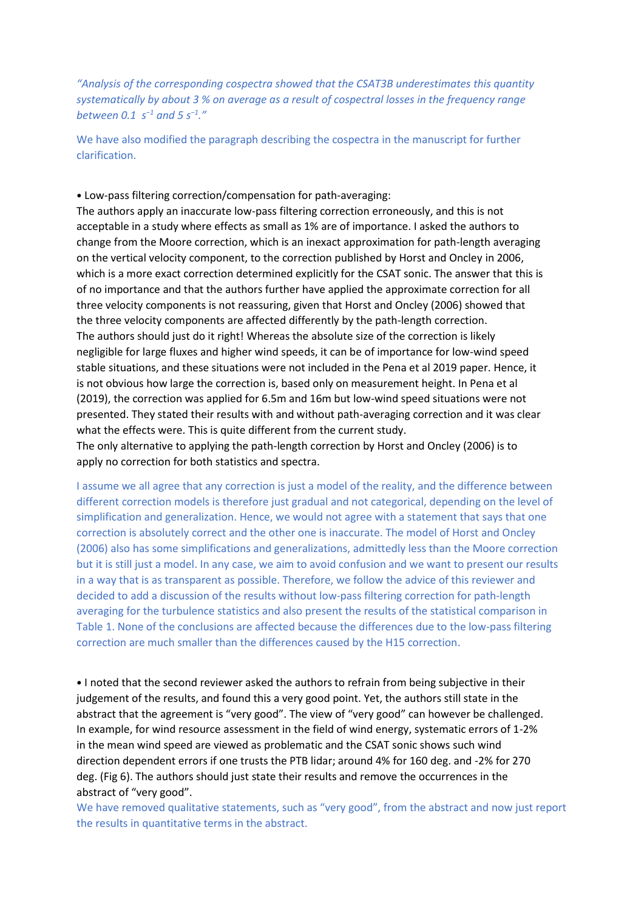*"Analysis of the corresponding cospectra showed that the CSAT3B underestimates this quantity systematically by about 3 % on average as a result of cospectral losses in the frequency range between 0.1 s<sup>−</sup><sup>1</sup> and 5 s<sup>−</sup><sup>1</sup> ."*

We have also modified the paragraph describing the cospectra in the manuscript for further clarification.

• Low-pass filtering correction/compensation for path-averaging:

The authors apply an inaccurate low-pass filtering correction erroneously, and this is not acceptable in a study where effects as small as 1% are of importance. I asked the authors to change from the Moore correction, which is an inexact approximation for path-length averaging on the vertical velocity component, to the correction published by Horst and Oncley in 2006, which is a more exact correction determined explicitly for the CSAT sonic. The answer that this is of no importance and that the authors further have applied the approximate correction for all three velocity components is not reassuring, given that Horst and Oncley (2006) showed that the three velocity components are affected differently by the path-length correction. The authors should just do it right! Whereas the absolute size of the correction is likely negligible for large fluxes and higher wind speeds, it can be of importance for low-wind speed stable situations, and these situations were not included in the Pena et al 2019 paper. Hence, it is not obvious how large the correction is, based only on measurement height. In Pena et al (2019), the correction was applied for 6.5m and 16m but low-wind speed situations were not presented. They stated their results with and without path-averaging correction and it was clear what the effects were. This is quite different from the current study.

The only alternative to applying the path-length correction by Horst and Oncley (2006) is to apply no correction for both statistics and spectra.

I assume we all agree that any correction is just a model of the reality, and the difference between different correction models is therefore just gradual and not categorical, depending on the level of simplification and generalization. Hence, we would not agree with a statement that says that one correction is absolutely correct and the other one is inaccurate. The model of Horst and Oncley (2006) also has some simplifications and generalizations, admittedly less than the Moore correction but it is still just a model. In any case, we aim to avoid confusion and we want to present our results in a way that is as transparent as possible. Therefore, we follow the advice of this reviewer and decided to add a discussion of the results without low-pass filtering correction for path-length averaging for the turbulence statistics and also present the results of the statistical comparison in Table 1. None of the conclusions are affected because the differences due to the low-pass filtering correction are much smaller than the differences caused by the H15 correction.

• I noted that the second reviewer asked the authors to refrain from being subjective in their judgement of the results, and found this a very good point. Yet, the authors still state in the abstract that the agreement is "very good". The view of "very good" can however be challenged. In example, for wind resource assessment in the field of wind energy, systematic errors of 1-2% in the mean wind speed are viewed as problematic and the CSAT sonic shows such wind direction dependent errors if one trusts the PTB lidar; around 4% for 160 deg. and -2% for 270 deg. (Fig 6). The authors should just state their results and remove the occurrences in the abstract of "very good".

We have removed qualitative statements, such as "very good", from the abstract and now just report the results in quantitative terms in the abstract.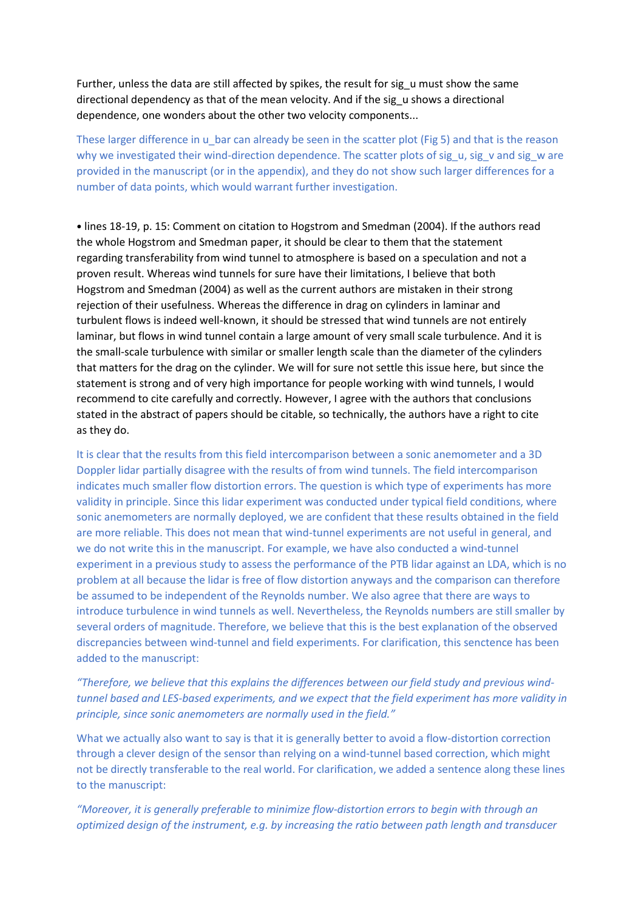Further, unless the data are still affected by spikes, the result for sig u must show the same directional dependency as that of the mean velocity. And if the sig\_u shows a directional dependence, one wonders about the other two velocity components...

These larger difference in u bar can already be seen in the scatter plot (Fig 5) and that is the reason why we investigated their wind-direction dependence. The scatter plots of sig\_u, sig\_v and sig\_w are provided in the manuscript (or in the appendix), and they do not show such larger differences for a number of data points, which would warrant further investigation.

• lines 18-19, p. 15: Comment on citation to Hogstrom and Smedman (2004). If the authors read the whole Hogstrom and Smedman paper, it should be clear to them that the statement regarding transferability from wind tunnel to atmosphere is based on a speculation and not a proven result. Whereas wind tunnels for sure have their limitations, I believe that both Hogstrom and Smedman (2004) as well as the current authors are mistaken in their strong rejection of their usefulness. Whereas the difference in drag on cylinders in laminar and turbulent flows is indeed well-known, it should be stressed that wind tunnels are not entirely laminar, but flows in wind tunnel contain a large amount of very small scale turbulence. And it is the small-scale turbulence with similar or smaller length scale than the diameter of the cylinders that matters for the drag on the cylinder. We will for sure not settle this issue here, but since the statement is strong and of very high importance for people working with wind tunnels, I would recommend to cite carefully and correctly. However, I agree with the authors that conclusions stated in the abstract of papers should be citable, so technically, the authors have a right to cite as they do.

It is clear that the results from this field intercomparison between a sonic anemometer and a 3D Doppler lidar partially disagree with the results of from wind tunnels. The field intercomparison indicates much smaller flow distortion errors. The question is which type of experiments has more validity in principle. Since this lidar experiment was conducted under typical field conditions, where sonic anemometers are normally deployed, we are confident that these results obtained in the field are more reliable. This does not mean that wind-tunnel experiments are not useful in general, and we do not write this in the manuscript. For example, we have also conducted a wind-tunnel experiment in a previous study to assess the performance of the PTB lidar against an LDA, which is no problem at all because the lidar is free of flow distortion anyways and the comparison can therefore be assumed to be independent of the Reynolds number. We also agree that there are ways to introduce turbulence in wind tunnels as well. Nevertheless, the Reynolds numbers are still smaller by several orders of magnitude. Therefore, we believe that this is the best explanation of the observed discrepancies between wind-tunnel and field experiments. For clarification, this senctence has been added to the manuscript:

# *"Therefore, we believe that this explains the differences between our field study and previous windtunnel based and LES-based experiments, and we expect that the field experiment has more validity in principle, since sonic anemometers are normally used in the field."*

What we actually also want to say is that it is generally better to avoid a flow-distortion correction through a clever design of the sensor than relying on a wind-tunnel based correction, which might not be directly transferable to the real world. For clarification, we added a sentence along these lines to the manuscript:

*"Moreover, it is generally preferable to minimize flow-distortion errors to begin with through an optimized design of the instrument, e.g. by increasing the ratio between path length and transducer*